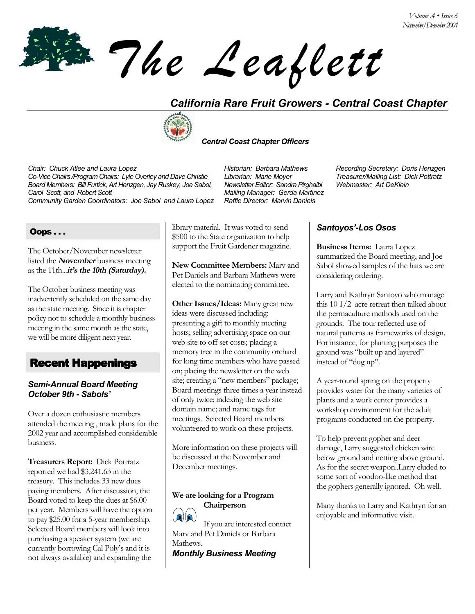*The Leaflett*

# *California Rare Fruit Growers - Central Coast Chapter*



#### *Central Coast Chapter Officers*

*Chair: Chuck Atlee and Laura Lopez Historian: Barbara Mathews Recording Secretary: Doris Henzgen Co-Vice Chairs /Program Chairs: Lyle Overley and Dave Christie Librarian: Marie Moyer Board Members: Bill Furtick, Art Henzgen, Jay Ruskey, Joe Sabol, Carol Scott, and Robert Scott Community Garden Coordinators: Joe Sabol and Laura Lopez* 

*Newsletter Editor: Sandra Pirghaibi Mailing Manager: Gerda Martinez* *Webmaster: Art DeKlein*

### Oops . . .

The October/November newsletter listed the **November** business meeting as the 11th...*it's the 10th (Saturday)*.

The October business meeting was inadvertently scheduled on the same day as the state meeting. Since it is chapter policy not to schedule a monthly business meeting in the same month as the state, we will be more diligent next year.

## Recent Happenings

#### *Semi-Annual Board Meeting October 9th - Sabolsí*

Over a dozen enthusiastic members attended the meeting , made plans for the 2002 year and accomplished considerable business.

**Treasurers Report:** Dick Pottratz reported we had \$3,241.63 in the treasury. This includes 33 new dues paying members. After discussion, the Board voted to keep the dues at \$6.00 per year. Members will have the option to pay \$25.00 for a 5-year membership. Selected Board members will look into purchasing a speaker system (we are currently borrowing Cal Poly's and it is not always available) and expanding the

library material. It was voted to send \$500 to the State organization to help support the Fruit Gardener magazine.

**New Committee Members:** Marv and Pet Daniels and Barbara Mathews were elected to the nominating committee.

**Other Issues/Ideas:** Many great new ideas were discussed including: presenting a gift to monthly meeting hosts; selling advertising space on our web site to off set costs; placing a memory tree in the community orchard for long time members who have passed on; placing the newsletter on the web site; creating a "new members" package; Board meetings three times a year instead of only twice; indexing the web site domain name; and name tags for meetings. Selected Board members volunteered to work on these projects.

More information on these projects will be discussed at the November and December meetings.

#### **We are looking for a Program Chairperson**



If you are interested contact Marv and Pet Daniels or Barbara Mathews.

*Monthly Business Meeting* 

### *Santoyosí-Los Osos*

**Business Items:** Laura Lopez summarized the Board meeting, and Joe Sabol showed samples of the hats we are considering ordering.

Larry and Kathryn Santoyo who manage this 10 1/2 acre retreat then talked about the permaculture methods used on the grounds. The tour reflected use of natural patterns as frameworks of design. For instance, for planting purposes the ground was "built up and layered" instead of "dug up".

A year-round spring on the property provides water for the many varieties of plants and a work center provides a workshop environment for the adult programs conducted on the property.

To help prevent gopher and deer damage, Larry suggested chicken wire below ground and netting above ground. As for the secret weapon..Larry eluded to some sort of voodoo-like method that the gophers generally ignored. Oh well.

Many thanks to Larry and Kathryn for an enjoyable and informative visit.